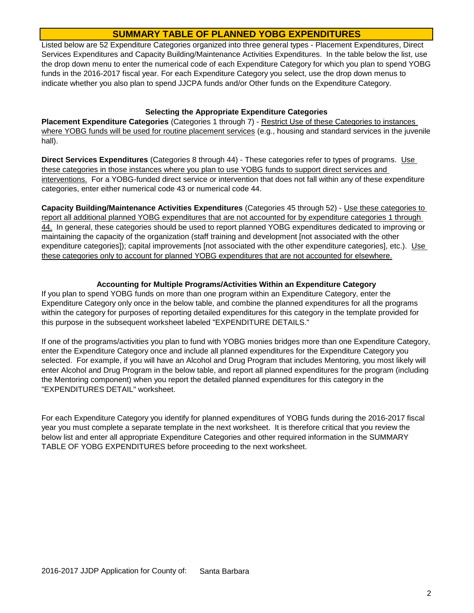## **SUMMARY TABLE OF PLANNED YOBG EXPENDITURES**

Listed below are 52 Expenditure Categories organized into three general types - Placement Expenditures, Direct Services Expenditures and Capacity Building/Maintenance Activities Expenditures. In the table below the list, use the drop down menu to enter the numerical code of each Expenditure Category for which you plan to spend YOBG funds in the 2016-2017 fiscal year. For each Expenditure Category you select, use the drop down menus to indicate whether you also plan to spend JJCPA funds and/or Other funds on the Expenditure Category.

## **Selecting the Appropriate Expenditure Categories**

**Placement Expenditure Categories** (Categories 1 through 7) - Restrict Use of these Categories to instances where YOBG funds will be used for routine placement services (e.g., housing and standard services in the juvenile hall).

**Direct Services Expenditures** (Categories 8 through 44) - These categories refer to types of programs. Use these categories in those instances where you plan to use YOBG funds to support direct services and interventions. For a YOBG-funded direct service or intervention that does not fall within any of these expenditure categories, enter either numerical code 43 or numerical code 44.

**Capacity Building/Maintenance Activities Expenditures** (Categories 45 through 52) - Use these categories to report all additional planned YOBG expenditures that are not accounted for by expenditure categories 1 through 44. In general, these categories should be used to report planned YOBG expenditures dedicated to improving or maintaining the capacity of the organization (staff training and development [not associated with the other expenditure categories]); capital improvements [not associated with the other expenditure categories], etc.). Use these categories only to account for planned YOBG expenditures that are not accounted for elsewhere.

## **Accounting for Multiple Programs/Activities Within an Expenditure Category**

If you plan to spend YOBG funds on more than one program within an Expenditure Category, enter the Expenditure Category only once in the below table, and combine the planned expenditures for all the programs within the category for purposes of reporting detailed expenditures for this category in the template provided for this purpose in the subsequent worksheet labeled "EXPENDITURE DETAILS."

If one of the programs/activities you plan to fund with YOBG monies bridges more than one Expenditure Category, enter the Expenditure Category once and include all planned expenditures for the Expenditure Category you selected. For example, if you will have an Alcohol and Drug Program that includes Mentoring, you most likely will enter Alcohol and Drug Program in the below table, and report all planned expenditures for the program (including the Mentoring component) when you report the detailed planned expenditures for this category in the "EXPENDITURES DETAIL" worksheet.

For each Expenditure Category you identify for planned expenditures of YOBG funds during the 2016-2017 fiscal year you must complete a separate template in the next worksheet. It is therefore critical that you review the below list and enter all appropriate Expenditure Categories and other required information in the SUMMARY TABLE OF YOBG EXPENDITURES before proceeding to the next worksheet.